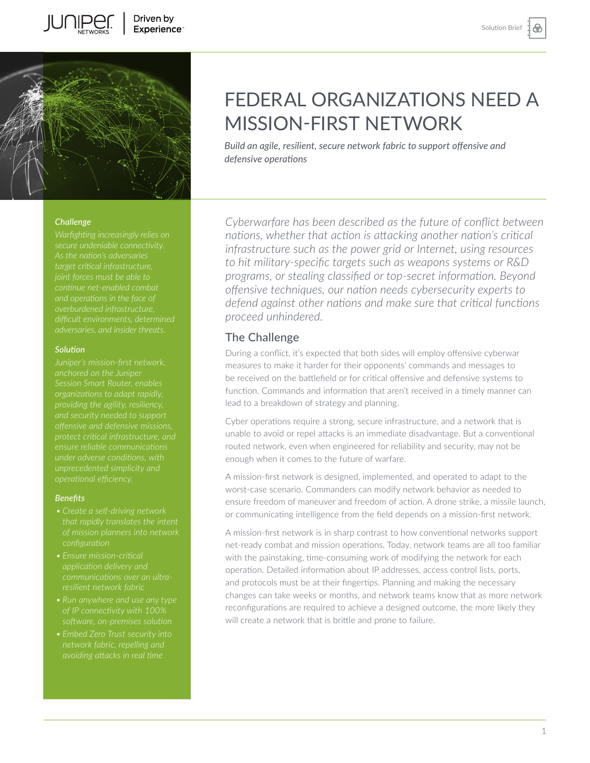⊛



#### *Challenge*

*Warfighting increasingly relies on target critical infrastructure, joint forces must be able to overburdened infrastructure, difficult environments, determined adversaries, and insider threats.* 

#### *Solution*

*anchored on the Juniper organizations to adapt rapidly, and security needed to support protect critical infrastructure, and* 

#### *Benefits*

- *configuration*
- 
- 
- 

# FEDERAL ORGANIZATIONS NEED A MISSION-FIRST NETWORK

*Build an agile, resilient, secure network fabric to support offensive and defensive operations* 

*Cyberwarfare has been described as the future of conflict between nations, whether that action is attacking another nation's critical infrastructure such as the power grid or Internet, using resources to hit military-specific targets such as weapons systems or R&D programs, or stealing classified or top-secret information. Beyond offensive techniques, our nation needs cybersecurity experts to defend against other nations and make sure that critical functions proceed unhindered.* 

## The Challenge

During a conflict, it's expected that both sides will employ offensive cyberwar measures to make it harder for their opponents' commands and messages to be received on the battlefield or for critical offensive and defensive systems to function. Commands and information that aren't received in a timely manner can lead to a breakdown of strategy and planning.

Cyber operations require a strong, secure infrastructure, and a network that is unable to avoid or repel attacks is an immediate disadvantage. But a conventional routed network, even when engineered for reliability and security, may not be enough when it comes to the future of warfare.

A mission-first network is designed, implemented, and operated to adapt to the worst-case scenario. Commanders can modify network behavior as needed to ensure freedom of maneuver and freedom of action. A drone strike, a missile launch, or communicating intelligence from the field depends on a mission-first network.

A mission-first network is in sharp contrast to how conventional networks support net-ready combat and mission operations. Today, network teams are all too familiar with the painstaking, time-consuming work of modifying the network for each operation. Detailed information about IP addresses, access control lists, ports, and protocols must be at their fingertips. Planning and making the necessary changes can take weeks or months, and network teams know that as more network reconfigurations are required to achieve a designed outcome, the more likely they will create a network that is brittle and prone to failure.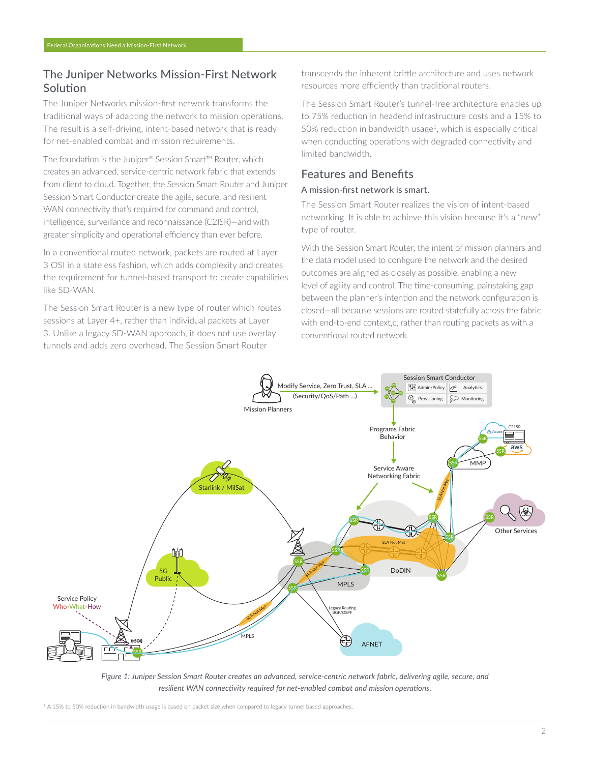## The Juniper Networks Mission-First Network Solution

The Juniper Networks mission-first network transforms the traditional ways of adapting the network to mission operations. The result is a self-driving, intent-based network that is ready for net-enabled combat and mission requirements.

The foundation is the Juniper® Session Smart™ Router, which creates an advanced, service-centric network fabric that extends from client to cloud. Together, the Session Smart Router and Juniper Session Smart Conductor create the agile, secure, and resilient WAN connectivity that's required for command and control, intelligence, surveillance and reconnaissance (C2ISR)—and with greater simplicity and operational efficiency than ever before.

In a conventional routed network, packets are routed at Layer 3 OSI in a stateless fashion, which adds complexity and creates the requirement for tunnel-based transport to create capabilities like SD-WAN.

The Session Smart Router is a new type of router which routes sessions at Layer 4+, rather than individual packets at Layer 3. Unlike a legacy SD-WAN approach, it does not use overlay tunnels and adds zero overhead. The Session Smart Router

transcends the inherent brittle architecture and uses network resources more efficiently than traditional routers.

The Session Smart Router's tunnel-free architecture enables up to 75% reduction in headend infrastructure costs and a 15% to 50% reduction in bandwidth usage<sup>1</sup>, which is especially critical when conducting operations with degraded connectivity and limited bandwidth.

## Features and Benefits

## A mission-first network is smart.

The Session Smart Router realizes the vision of intent-based networking. It is able to achieve this vision because it's a "new" type of router.

With the Session Smart Router, the intent of mission planners and the data model used to configure the network and the desired outcomes are aligned as closely as possible, enabling a new level of agility and control. The time-consuming, painstaking gap between the planner's intention and the network configuration is closed—all because sessions are routed statefully across the fabric with end-to-end context,c, rather than routing packets as with a conventional routed network.



*Figure 1: Juniper Session Smart Router creates an advanced, service-centric network fabric, delivering agile, secure, and resilient WAN connectivity required for net-enabled combat and mission operations.*

<sup>1</sup> A 15% to 50% reduction in bandwidth usage is based on packet size when compared to legacy tunnel based approaches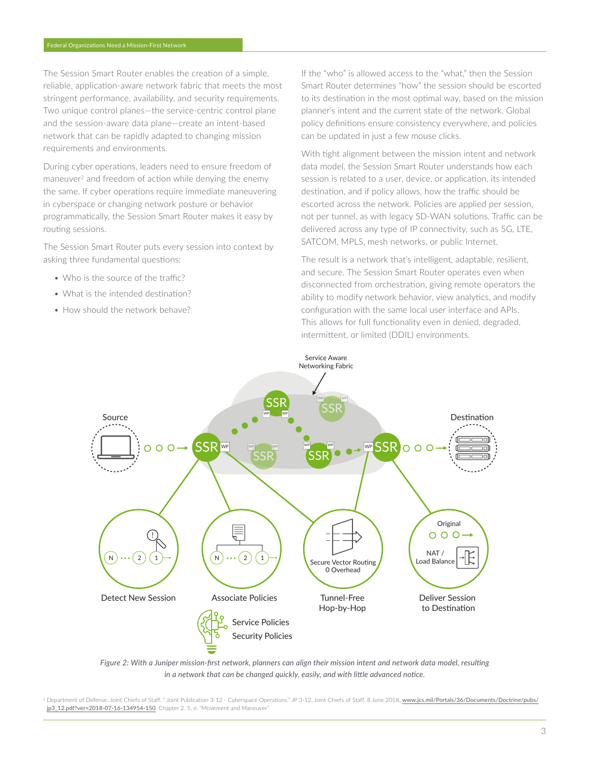The Session Smart Router enables the creation of a simple, reliable, application-aware network fabric that meets the most stringent performance, availability, and security requirements. Two unique control planes—the service-centric control plane and the session-aware data plane—create an intent-based network that can be rapidly adapted to changing mission requirements and environments.

During cyber operations, leaders need to ensure freedom of maneuver<sup>2</sup> and freedom of action while denying the enemy the same. If cyber operations require immediate maneuvering in cyberspace or changing network posture or behavior programmatically, the Session Smart Router makes it easy by routing sessions.

The Session Smart Router puts every session into context by asking three fundamental questions:

- Who is the source of the traffic?
- What is the intended destination?
- How should the network behave?

If the "who" is allowed access to the "what," then the Session Smart Router determines "how" the session should be escorted to its destination in the most optimal way, based on the mission planner's intent and the current state of the network. Global policy definitions ensure consistency everywhere, and policies can be updated in just a few mouse clicks.

With tight alignment between the mission intent and network data model, the Session Smart Router understands how each session is related to a user, device, or application, its intended destination, and if policy allows, how the traffic should be escorted across the network. Policies are applied per session, not per tunnel, as with legacy SD-WAN solutions. Traffic can be delivered across any type of IP connectivity, such as 5G, LTE, SATCOM, MPLS, mesh networks, or public Internet.

The result is a network that's intelligent, adaptable, resilient, and secure. The Session Smart Router operates even when disconnected from orchestration, giving remote operators the ability to modify network behavior, view analytics, and modify configuration with the same local user interface and APIs. This allows for full functionality even in denied, degraded, intermittent, or limited (DDIL) environments.



*Figure 2: With a Juniper mission-first network, planners can align their mission intent and network data model, resulting in a network that can be changed quickly, easily, and with little advanced notice.*

<sup>2</sup> Department of Defense, Joint Chiefs of Staff. " Joint Publication 3-12 - Cyberspace Operations." JP 3-12, Joint Chiefs of Staff, 8 June 2018, [www.jcs.mil/Portals/36/Documents/Doctrine/pubs/](http://www.jcs.mil/Portals/36/Documents/Doctrine/pubs/jp3_12.pdf?ver=2018-07-16-134954-150) ip3\_12.pdf?ver=2018-07-16-134954-150. Chapter 2. 5. e. "Movement and Maneuver"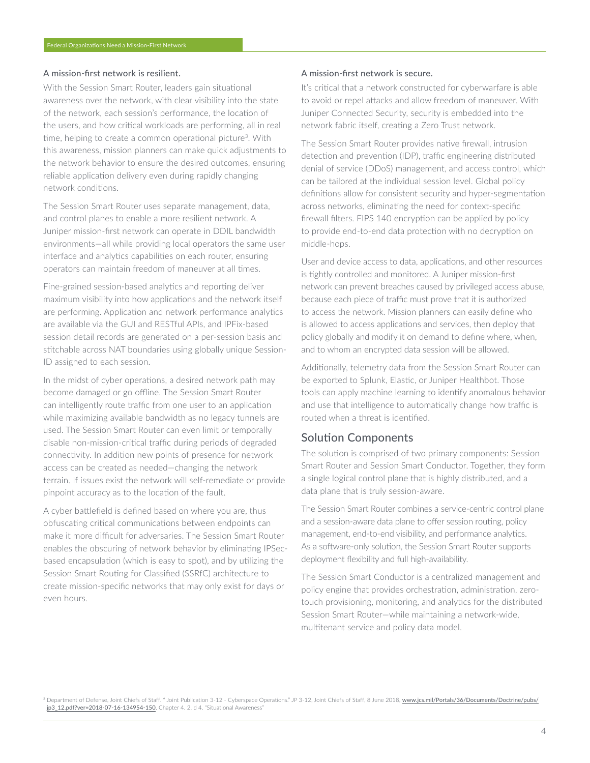#### A mission-first network is resilient.

With the Session Smart Router, leaders gain situational awareness over the network, with clear visibility into the state of the network, each session's performance, the location of the users, and how critical workloads are performing, all in real time, helping to create a common operational picture<sup>3</sup>. With this awareness, mission planners can make quick adjustments to the network behavior to ensure the desired outcomes, ensuring reliable application delivery even during rapidly changing network conditions.

The Session Smart Router uses separate management, data, and control planes to enable a more resilient network. A Juniper mission-first network can operate in DDIL bandwidth environments—all while providing local operators the same user interface and analytics capabilities on each router, ensuring operators can maintain freedom of maneuver at all times.

Fine-grained session-based analytics and reporting deliver maximum visibility into how applications and the network itself are performing. Application and network performance analytics are available via the GUI and RESTful APIs, and IPFix-based session detail records are generated on a per-session basis and stitchable across NAT boundaries using globally unique Session-ID assigned to each session.

In the midst of cyber operations, a desired network path may become damaged or go offline. The Session Smart Router can intelligently route traffic from one user to an application while maximizing available bandwidth as no legacy tunnels are used. The Session Smart Router can even limit or temporally disable non-mission-critical traffic during periods of degraded connectivity. In addition new points of presence for network access can be created as needed—changing the network terrain. If issues exist the network will self-remediate or provide pinpoint accuracy as to the location of the fault.

A cyber battlefield is defined based on where you are, thus obfuscating critical communications between endpoints can make it more difficult for adversaries. The Session Smart Router enables the obscuring of network behavior by eliminating IPSecbased encapsulation (which is easy to spot), and by utilizing the Session Smart Routing for Classified (SSRfC) architecture to create mission-specific networks that may only exist for days or even hours.

#### A mission-first network is secure.

It's critical that a network constructed for cyberwarfare is able to avoid or repel attacks and allow freedom of maneuver. With Juniper Connected Security, security is embedded into the network fabric itself, creating a Zero Trust network.

The Session Smart Router provides native firewall, intrusion detection and prevention (IDP), traffic engineering distributed denial of service (DDoS) management, and access control, which can be tailored at the individual session level. Global policy definitions allow for consistent security and hyper-segmentation across networks, eliminating the need for context-specific firewall filters. FIPS 140 encryption can be applied by policy to provide end-to-end data protection with no decryption on middle-hops.

User and device access to data, applications, and other resources is tightly controlled and monitored. A Juniper mission-first network can prevent breaches caused by privileged access abuse, because each piece of traffic must prove that it is authorized to access the network. Mission planners can easily define who is allowed to access applications and services, then deploy that policy globally and modify it on demand to define where, when, and to whom an encrypted data session will be allowed.

Additionally, telemetry data from the Session Smart Router can be exported to Splunk, Elastic, or Juniper Healthbot. Those tools can apply machine learning to identify anomalous behavior and use that intelligence to automatically change how traffic is routed when a threat is identified.

### Solution Components

The solution is comprised of two primary components: Session Smart Router and Session Smart Conductor. Together, they form a single logical control plane that is highly distributed, and a data plane that is truly session-aware.

The Session Smart Router combines a service-centric control plane and a session-aware data plane to offer session routing, policy management, end-to-end visibility, and performance analytics. As a software-only solution, the Session Smart Router supports deployment flexibility and full high-availability.

The Session Smart Conductor is a centralized management and policy engine that provides orchestration, administration, zerotouch provisioning, monitoring, and analytics for the distributed Session Smart Router—while maintaining a network-wide, multitenant service and policy data model.

<sup>3</sup> Department of Defense, Joint Chiefs of Staff. " Joint Publication 3-12 - Cyberspace Operations." JP 3-12, Joint Chiefs of Staff, 8 June 2018, [www.jcs.mil/Portals/36/Documents/Doctrine/pubs/](http://www.jcs.mil/Portals/36/Documents/Doctrine/pubs/jp3_12.pdf?ver=2018-07-16-134954-150) [jp3\\_12.pdf?ver=2018-07-16-134954-150](http://www.jcs.mil/Portals/36/Documents/Doctrine/pubs/jp3_12.pdf?ver=2018-07-16-134954-150). Chapter 4. 2. d 4. "Situational Awareness"